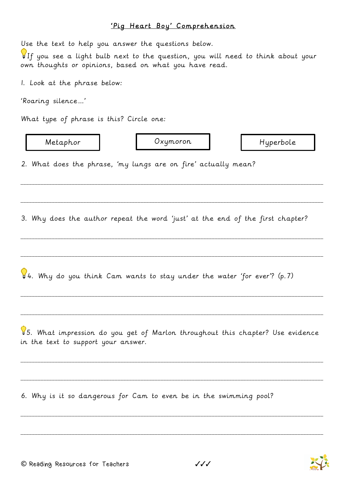## 'Pig Heart Boy' Comprehension

| Use the text to help you answer the questions below.<br>If you see a light bulb next to the question, you will need to think about your<br>own thoughts or opinions, based on what you have read. |          |           |
|---------------------------------------------------------------------------------------------------------------------------------------------------------------------------------------------------|----------|-----------|
| I. Look at the phrase below:                                                                                                                                                                      |          |           |
| 'Roaring silence'                                                                                                                                                                                 |          |           |
| What type of phrase is this? Circle one:                                                                                                                                                          |          |           |
| Metaphor                                                                                                                                                                                          | Oxymoron | Hyperbole |
| 2. What does the phrase, 'my lungs are on fire' actually mean?                                                                                                                                    |          |           |
| 3. Why does the author repeat the word 'just' at the end of the first chapter?                                                                                                                    |          |           |
| 14. Why do you think Cam wants to stay under the water 'for ever'? (p. 7)                                                                                                                         |          |           |
| 85. What impression do you get of Marlon throughout this chapter? Use evidence<br>in the text to support your answer.                                                                             |          |           |
| 6. Why is it so dangerous for Cam to even be in the swimming pool?                                                                                                                                |          |           |
|                                                                                                                                                                                                   |          |           |